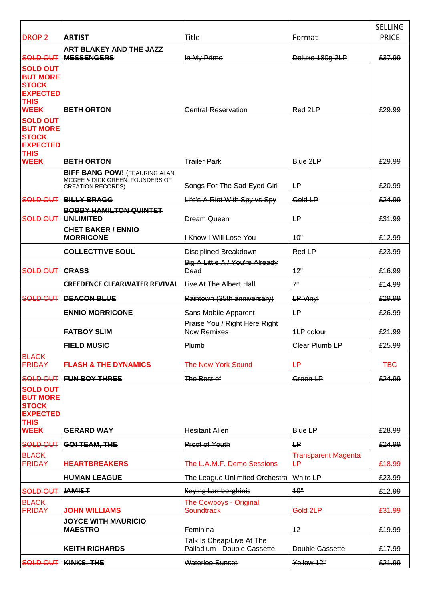| <b>DROP 2</b>                                                                                       | <b>ARTIST</b>                                                                                       | Title                                                    | Format                                  | <b>SELLING</b><br><b>PRICE</b> |
|-----------------------------------------------------------------------------------------------------|-----------------------------------------------------------------------------------------------------|----------------------------------------------------------|-----------------------------------------|--------------------------------|
|                                                                                                     |                                                                                                     |                                                          |                                         |                                |
| SOLD OUT                                                                                            | ART BLAKEY AND THE JAZZ<br><b>MESSENGERS</b>                                                        | In My Prime                                              | Deluxe 180g 2LP                         | £37.99                         |
| <b>SOLD OUT</b><br><b>BUT MORE</b><br><b>STOCK</b><br><b>EXPECTED</b><br><b>THIS</b>                |                                                                                                     |                                                          |                                         |                                |
| <b>WEEK</b>                                                                                         | <b>BETH ORTON</b>                                                                                   | <b>Central Reservation</b>                               | Red 2LP                                 | £29.99                         |
| <b>SOLD OUT</b><br><b>BUT MORE</b><br><b>STOCK</b><br><b>EXPECTED</b><br><b>THIS</b><br><b>WEEK</b> | <b>BETH ORTON</b>                                                                                   | <b>Trailer Park</b>                                      | Blue 2LP                                | £29.99                         |
|                                                                                                     | <b>BIFF BANG POW!</b> (FEAURING ALAN<br>MCGEE & DICK GREEN, FOUNDERS OF<br><b>CREATION RECORDS)</b> | Songs For The Sad Eyed Girl                              | <b>LP</b>                               | £20.99                         |
|                                                                                                     | <b>SOLD OUT BILLY BRAGG</b>                                                                         | Life's A Riot With Spy vs Spy                            | Gold LP                                 | £24.99                         |
|                                                                                                     | <b>BOBBY HAMILTON QUINTET</b>                                                                       |                                                          |                                         |                                |
| SOLD OUT                                                                                            | <b>UNLIMITED</b>                                                                                    | <b>Dream Queen</b>                                       | ۳                                       | £31.99                         |
|                                                                                                     | <b>CHET BAKER / ENNIO</b><br><b>MORRICONE</b>                                                       | I Know I Will Lose You                                   | 10"                                     | £12.99                         |
|                                                                                                     | <b>COLLECTTIVE SOUL</b>                                                                             | Disciplined Breakdown                                    | Red LP                                  | £23.99                         |
| <b>SOLD OUT</b>                                                                                     | <b>CRASS</b>                                                                                        | Big A Little A / You're Already<br>Dead                  | 42"                                     | £16.99                         |
|                                                                                                     | <b>CREEDENCE CLEARWATER REVIVAL</b>                                                                 | Live At The Albert Hall                                  | 7"                                      | £14.99                         |
| SOLD OUT                                                                                            | <b>DEACON BLUE</b>                                                                                  | Raintown (35th anniversary)                              | <b>LP Vinyl</b>                         | £29.99                         |
|                                                                                                     | <b>ENNIO MORRICONE</b>                                                                              | Sans Mobile Apparent                                     | <b>LP</b>                               | £26.99                         |
|                                                                                                     | <b>FATBOY SLIM</b>                                                                                  | Praise You / Right Here Right<br>Now Remixes             | 1LP colour                              | £21.99                         |
|                                                                                                     | <b>FIELD MUSIC</b>                                                                                  | Plumb                                                    | Clear Plumb LP                          | £25.99                         |
| <b>BLACK</b><br><b>FRIDAY</b>                                                                       | <b>FLASH &amp; THE DYNAMICS</b>                                                                     | The New York Sound                                       | <b>LP</b>                               | <b>TBC</b>                     |
|                                                                                                     | SOLD OUT FUN BOY THREE                                                                              | The Best of                                              | Green <sub>LP</sub>                     | £24.99                         |
| <b>SOLD OUT</b><br><b>BUT MORE</b><br><b>STOCK</b><br><b>EXPECTED</b><br><b>THIS</b><br><b>WEEK</b> | <b>GERARD WAY</b>                                                                                   | <b>Hesitant Alien</b>                                    | <b>Blue LP</b>                          | £28.99                         |
| SOLD OUT                                                                                            | GO! TEAM, THE                                                                                       | Proof of Youth                                           | <b>LP</b>                               | £24.99                         |
| <b>BLACK</b><br><b>FRIDAY</b>                                                                       | <b>HEARTBREAKERS</b>                                                                                | The L.A.M.F. Demo Sessions                               | <b>Transparent Magenta</b><br><b>LP</b> | £18.99                         |
|                                                                                                     | <b>HUMAN LEAGUE</b>                                                                                 | The League Unlimited Orchestra                           | White LP                                | £23.99                         |
| SOLD OUT                                                                                            | JAMIE T                                                                                             | Keying Lamborghinis                                      | 10"                                     | £12.99                         |
| <b>BLACK</b><br><b>FRIDAY</b>                                                                       | <b>JOHN WILLIAMS</b>                                                                                | The Cowboys - Original<br><b>Soundtrack</b>              | Gold 2LP                                | £31.99                         |
|                                                                                                     | <b>JOYCE WITH MAURICIO</b><br><b>MAESTRO</b>                                                        | Feminina                                                 | 12                                      | £19.99                         |
|                                                                                                     | <b>KEITH RICHARDS</b>                                                                               | Talk Is Cheap/Live At The<br>Palladium - Double Cassette | Double Cassette                         | £17.99                         |
|                                                                                                     | SOLD OUT   KINKS, THE                                                                               | <b>Waterloo Sunset</b>                                   | Yellow 12"                              | £21.99                         |